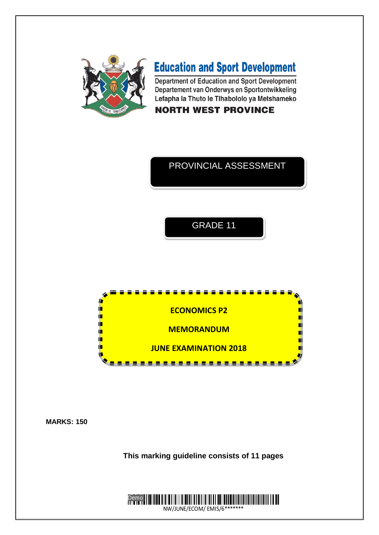

# **Education and Sport Development**

Department of Education and Sport Development Departement van Onderwys en Sportontwikkeling Lefapha la Thuto le Tlhabololo ya Metshameko

# **NORTH WEST PROVINCE**

# PROVINCIAL ASSESSMENT

# GRADE 11



**MARKS: 150**

**This marking guideline consists of 11 pages**

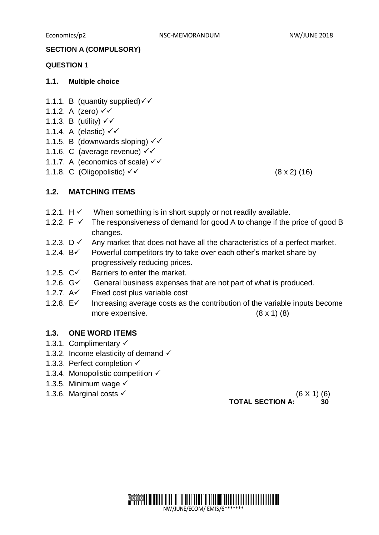#### **SECTION A (COMPULSORY)**

#### **QUESTION 1**

#### **1.1. Multiple choice**

- 1.1.1. B (quantity supplied) $\checkmark\checkmark$
- 1.1.2. A (zero)  $\checkmark\checkmark$
- 1.1.3. B (utility)  $\checkmark$
- 1.1.4. A (elastic)  $\checkmark\checkmark$
- 1.1.5. B (downwards sloping)  $\checkmark\checkmark$
- 1.1.6. C (average revenue)  $\checkmark\checkmark$
- 1.1.7. A (economics of scale)  $\checkmark\checkmark$
- 1.1.8. C (Oligopolistic)  $\checkmark$  (8 x 2) (16)

### **1.2. MATCHING ITEMS**

- 1.2.1.  $H \checkmark$  When something is in short supply or not readily available.
- 1.2.2.  $F \nightharpoonup$  The responsiveness of demand for good A to change if the price of good B changes.
- 1.2.3.  $D \checkmark$  Any market that does not have all the characteristics of a perfect market.
- 1.2.4.  $B\check{ }$  Powerful competitors try to take over each other's market share by progressively reducing prices.
- 1.2.5.  $C\checkmark$  Barriers to enter the market.
- 1.2.6.  $G\check{ }$  General business expenses that are not part of what is produced.
- 1.2.7.  $A \checkmark$  Fixed cost plus variable cost
- 1.2.8.  $E\check{ }$  Increasing average costs as the contribution of the variable inputs become more expensive.  $(8 \times 1)$  (8)

#### **1.3. ONE WORD ITEMS**

- 1.3.1. Complimentary
- 1.3.2. Income elasticity of demand  $\checkmark$
- 1.3.3. Perfect completion √
- 1.3.4. Monopolistic competition  $\checkmark$
- 1.3.5. Minimum wage  $\checkmark$
- 1.3.6. Marginal costs  $\checkmark$  (6 X 1) (6)

**TOTAL SECTION A: 30**

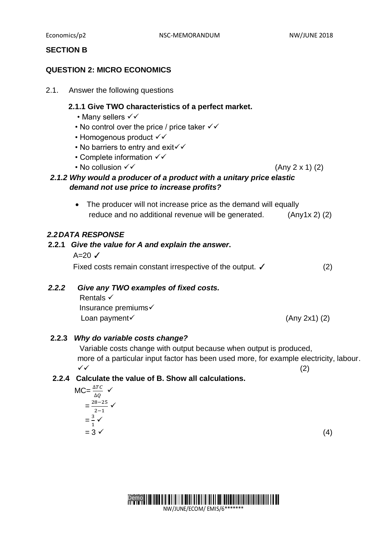Economics/p2 **NSC-MEMORANDUM** NW/JUNE 2018

### **SECTION B**

### **QUESTION 2: MICRO ECONOMICS**

2.1. Answer the following questions

#### **2.1.1 Give TWO characteristics of a perfect market.**

- Many sellers  $\checkmark\checkmark$
- No control over the price / price taker  $\checkmark\checkmark$
- Homogenous product  $\checkmark\checkmark$
- No barriers to entry and exit $\checkmark$
- Complete information  $\checkmark\checkmark$
- No collusion  $\checkmark\checkmark$  (Any 2 x 1) (2)
- *2.1.2 Why would a producer of a product with a unitary price elastic demand not use price to increase profits?* 
	- The producer will not increase price as the demand will equally reduce and no additional revenue will be generated. (Any1x 2) (2)

### *2.2DATA RESPONSE*

# **2.2.1** *Give the value for A and explain the answer***.**   $A=20$   $\checkmark$ Fixed costs remain constant irrespective of the output. <del>✓</del> (2)

### *2.2.2**Give any TWO examples of fixed costs.*

**Rentals √**  Insurance premiums Loan payment  $\checkmark$  (Any 2x1) (2)

### **2.2.3** *Why do variable costs change?*

Variable costs change with output because when output is produced, more of a particular input factor has been used more, for example electricity, labour.  $\checkmark$  (2)

### **2.2.4 Calculate the value of B. Show all calculations.**

$$
MC = \frac{\Delta TC}{\Delta Q} \checkmark
$$
  
= 
$$
\frac{28-25}{2-1} \checkmark
$$
  
= 
$$
\frac{3}{1} \checkmark
$$
  
= 
$$
3 \checkmark
$$
 (4)

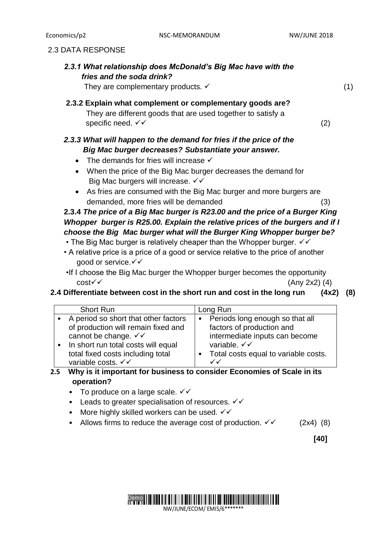### 2.3 DATA RESPONSE

| 2.3.1 What relationship does McDonald's Big Mac have with the |  |
|---------------------------------------------------------------|--|
| fries and the soda drink?                                     |  |

They are complementary products.  $\checkmark$  (1)

### **2.3.2 Explain what complement or complementary goods are?**  They are different goods that are used together to satisfy a specific need.  $\checkmark$  (2)

# *2.3.3 What will happen to the demand for fries if the price of the Big Mac burger decreases? Substantiate your answer.*

- $\bullet$  The demands for fries will increase  $\checkmark$
- When the price of the Big Mac burger decreases the demand for Big Mac burgers will increase.  $\checkmark\checkmark$
- As fries are consumed with the Big Mac burger and more burgers are demanded, more fries will be demanded (3)

# **2.3.4** *The price of a Big Mac burger is R23.00 and the price of a Burger King Whopper burger is R25.00. Explain the relative prices of the burgers and if I choose the Big Mac burger what will the Burger King Whopper burger be?*

- The Big Mac burger is relatively cheaper than the Whopper burger.  $\checkmark\checkmark$
- A relative price is a price of a good or service relative to the price of another good or service. V V
- •If I choose the Big Mac burger the Whopper burger becomes the opportunity  $cost \checkmark$  (Any 2x2) (4)

### **2.4 Differentiate between cost in the short run and cost in the long run (4x2) (8)**

| <b>Short Run</b>                         | Long Run                             |
|------------------------------------------|--------------------------------------|
| • A period so short that other factors   | • Periods long enough so that all    |
| of production will remain fixed and      | factors of production and            |
| cannot be change. $\checkmark\checkmark$ | intermediate inputs can become       |
| In short run total costs will equal      | variable. $\checkmark\checkmark$     |
| total fixed costs including total        | Total costs equal to variable costs. |
| variable costs. V V                      | $\checkmark$                         |

# **2.5 Why is it important for business to consider Economies of Scale in its operation?**

- To produce on a large scale.  $\checkmark\checkmark$
- Leads to greater specialisation of resources.  $\checkmark\checkmark$
- More highly skilled workers can be used.  $\checkmark\checkmark$
- Allows firms to reduce the average cost of production.  $\checkmark$  (2x4) (8)

**[40]**

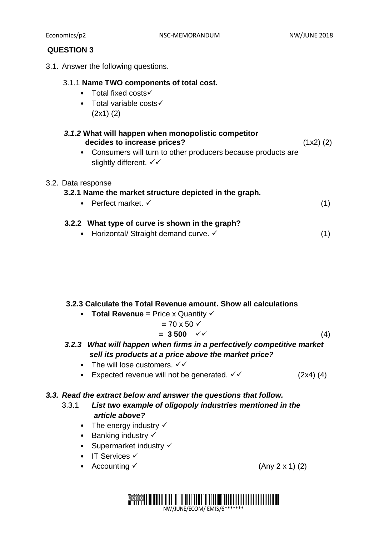### **QUESTION 3**

3.1. Answer the following questions.

### 3.1.1 **Name TWO components of total cost.**

- Total fixed costs
- Total variable costs $\checkmark$ (2x1) (2)

| 3.1.2 What will happen when monopolistic competitor |               |
|-----------------------------------------------------|---------------|
| decides to increase prices?                         | $(1x2)$ $(2)$ |

• Consumers will turn to other producers because products are slightly different.  $\checkmark\checkmark$ 

### 3.2. Data response

### **3.2.1 Name the market structure depicted in the graph.**

• Perfect market.  $\checkmark$  (1)

## **3.2.2 What type of curve is shown in the graph?**

• Horizontal/ Straight demand curve.  $\checkmark$  (1)

### **3.2.3 Calculate the Total Revenue amount. Show all calculations**

• **Total Revenue = Price x Quantity**  $\checkmark$ 

$$
= 70 \times 50 \checkmark
$$
  
= 3 500 \checkmark \checkmark (4)

*3.2.3 What will happen when firms in a perfectively competitive market sell its products at a price above the market price?*

- The will lose customers.  $\checkmark\checkmark$
- Expected revenue will not be generated.  $\checkmark$  (2x4) (4)

### *3.3. Read the extract below and answer the questions that follow.*

# 3.3.1 *List two example of oligopoly industries mentioned in the article above?*

- The energy industry  $\checkmark$
- Banking industry  $\checkmark$
- Supermarket industry  $\checkmark$
- $\bullet$  IT Services  $\checkmark$
- Accounting  $\checkmark$  (Any 2 x 1) (2)

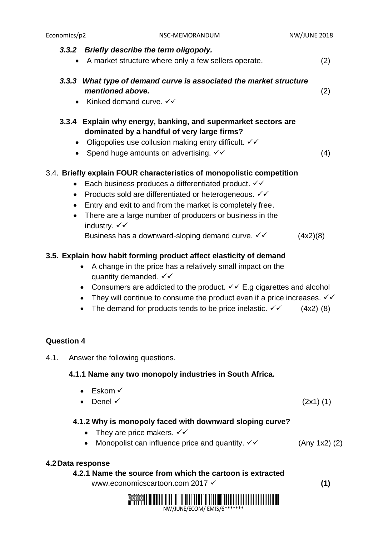| Economics/p2                                     | NSC-MEMORANDUM                                                                                                                                                                                                                                                                                                                                                                                                                                                     | <b>NW/JUNE 2018</b> |
|--------------------------------------------------|--------------------------------------------------------------------------------------------------------------------------------------------------------------------------------------------------------------------------------------------------------------------------------------------------------------------------------------------------------------------------------------------------------------------------------------------------------------------|---------------------|
|                                                  | 3.3.2 Briefly describe the term oligopoly.<br>A market structure where only a few sellers operate.                                                                                                                                                                                                                                                                                                                                                                 | (2)                 |
| $\bullet$                                        | 3.3.3 What type of demand curve is associated the market structure<br>mentioned above.<br>Kinked demand curve. $\checkmark\checkmark$                                                                                                                                                                                                                                                                                                                              | (2)                 |
| $\bullet$                                        | 3.3.4 Explain why energy, banking, and supermarket sectors are<br>dominated by a handful of very large firms?<br>Oligopolies use collusion making entry difficult. $\checkmark\checkmark$<br>Spend huge amounts on advertising. $\checkmark\checkmark$                                                                                                                                                                                                             | (4)                 |
| $\bullet$<br>$\bullet$<br>$\bullet$<br>$\bullet$ | 3.4. Briefly explain FOUR characteristics of monopolistic competition<br>Each business produces a differentiated product. $\checkmark\checkmark$<br>Products sold are differentiated or heterogeneous. $\checkmark\checkmark$<br>Entry and exit to and from the market is completely free.<br>There are a large number of producers or business in the<br>industry. $\checkmark\checkmark$<br>Business has a downward-sloping demand curve. $\checkmark\checkmark$ | (4x2)(8)            |

# **3.5. Explain how habit forming product affect elasticity of demand**

- A change in the price has a relatively small impact on the quantity demanded.  $\checkmark\checkmark$
- Consumers are addicted to the product.  $\checkmark\checkmark\in G$  cigarettes and alcohol
- They will continue to consume the product even if a price increases.  $\checkmark\checkmark$
- The demand for products tends to be price inelastic.  $\checkmark$  (4x2) (8)

# **Question 4**

4.1. Answer the following questions.

# **4.1.1 Name any two monopoly industries in South Africa.**

- $\bullet$  Eskom  $\checkmark$
- Denel  $\checkmark$  (2x1) (1)

# **4.1.2 Why is monopoly faced with downward sloping curve?**

- They are price makers.  $\checkmark\checkmark$
- Monopolist can influence price and quantity.  $\checkmark$  (Any 1x2) (2)

# **4.2Data response**

 **4.2.1 Name the source from which the cartoon is extracted** www.economicscartoon.com 2017 **(1)**

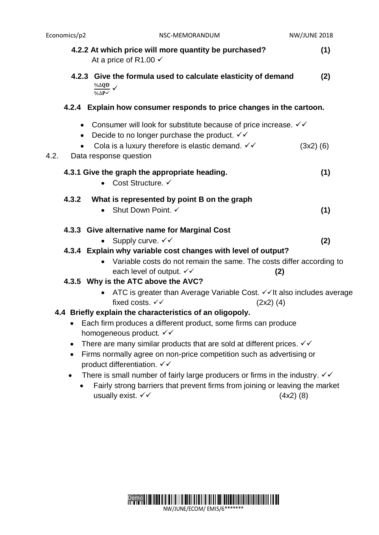| Economics/p2 | NSC-MEMORANDUM                                                                                                                                            | <b>NW/JUNE 2018</b> |
|--------------|-----------------------------------------------------------------------------------------------------------------------------------------------------------|---------------------|
|              | 4.2.2 At which price will more quantity be purchased?<br>At a price of R1.00 $\checkmark$                                                                 | (1)                 |
|              | 4.2.3 Give the formula used to calculate elasticity of demand<br>$\frac{\% \Delta QD}{\% \Delta P}$ $\checkmark$                                          | (2)                 |
|              | 4.2.4 Explain how consumer responds to price changes in the cartoon.                                                                                      |                     |
| $\bullet$    | • Consumer will look for substitute because of price increase. $\checkmark\checkmark$<br>Decide to no longer purchase the product. $\checkmark\checkmark$ |                     |
| 4.2.         | Cola is a luxury therefore is elastic demand. $\checkmark\checkmark$<br>Data response question                                                            | $(3x2)$ (6)         |
|              | 4.3.1 Give the graph the appropriate heading.<br>Cost Structure. ✓<br>$\bullet$                                                                           | (1)                 |
| 4.3.2        | What is represented by point B on the graph<br>Shut Down Point. ✓                                                                                         | (1)                 |
|              | 4.3.3 Give alternative name for Marginal Cost<br>Supply curve. $\checkmark\checkmark$<br>$\bullet$                                                        | (2)                 |
|              | 4.3.4 Explain why variable cost changes with level of output?<br>Variable costs do not remain the same. The costs differ according to                     |                     |
|              | each level of output. √√<br>(2)<br>4.3.5 Why is the ATC above the AVC?                                                                                    |                     |
|              | ATC is greater than Average Variable Cost. √√It also includes average<br>fixed costs. √√<br>$(2x2)$ (4)                                                   |                     |
|              | 4.4 Briefly explain the characteristics of an oligopoly.                                                                                                  |                     |
| $\bullet$    | Each firm produces a different product, some firms can produce<br>homogeneous product. VV                                                                 |                     |
| $\bullet$    | There are many similar products that are sold at different prices. $\checkmark\checkmark$                                                                 |                     |
| $\bullet$    | Firms normally agree on non-price competition such as advertising or<br>product differentiation. √√                                                       |                     |
| $\bullet$    | There is small number of fairly large producers or firms in the industry. $\checkmark\checkmark$                                                          |                     |
|              | Fairly strong barriers that prevent firms from joining or leaving the market<br>usually exist. √√                                                         | $(4x2)$ (8)         |

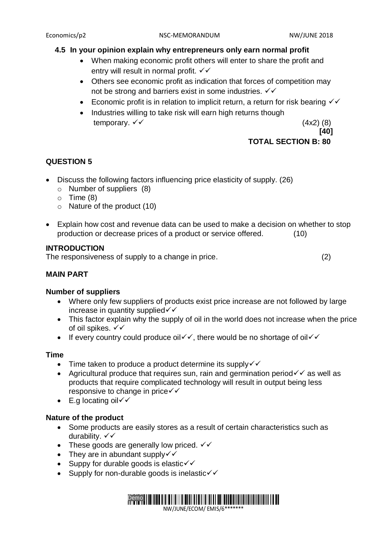### **4.5 In your opinion explain why entrepreneurs only earn normal profit**

- When making economic profit others will enter to share the profit and entry will result in normal profit.  $\checkmark\checkmark$
- Others see economic profit as indication that forces of competition may not be strong and barriers exist in some industries.  $\checkmark\checkmark$
- Economic profit is in relation to implicit return, a return for risk bearing  $\checkmark$
- Industries willing to take risk will earn high returns though temporary.  $\checkmark\checkmark$  (4x2) (8)

 **[40]**

### **TOTAL SECTION B: 80**

### **QUESTION 5**

- Discuss the following factors influencing price elasticity of supply. (26)
	- o Number of suppliers (8)
	- $\circ$  Time (8)
	- o Nature of the product (10)
- Explain how cost and revenue data can be used to make a decision on whether to stop production or decrease prices of a product or service offered. (10)

### **INTRODUCTION**

The responsiveness of supply to a change in price. (2)

### **MAIN PART**

### **Number of suppliers**

- Where only few suppliers of products exist price increase are not followed by large increase in quantity supplied  $\checkmark$
- This factor explain why the supply of oil in the world does not increase when the price of oil spikes. √√
- If every country could produce oil  $\checkmark$ , there would be no shortage of oil  $\checkmark$

### **Time**

- $\bullet$  Time taken to produce a product determine its supply $\checkmark$
- Agricultural produce that requires sun, rain and germination period  $\checkmark$  as well as products that require complicated technology will result in output being less responsive to change in price <del>V</del>
- $\bullet$  E.g locating oil  $\checkmark$

### **Nature of the product**

- Some products are easily stores as a result of certain characteristics such as durability. √√
- These goods are generally low priced.  $\checkmark\checkmark$
- They are in abundant supply $\checkmark$
- $\bullet$  Suppy for durable goods is elastic  $\checkmark$
- Supply for non-durable goods is inelastic $\checkmark$

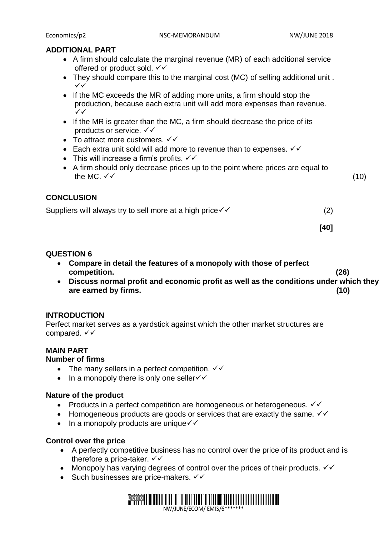### **ADDITIONAL PART**

- A firm should calculate the marginal revenue (MR) of each additional service offered or product sold.  $\checkmark\checkmark$
- They should compare this to the marginal cost (MC) of selling additional unit .  $\checkmark$
- If the MC exceeds the MR of adding more units, a firm should stop the production, because each extra unit will add more expenses than revenue.  $\checkmark$
- If the MR is greater than the MC, a firm should decrease the price of its products or service.  $\checkmark\checkmark$
- To attract more customers.  $\checkmark\checkmark$
- Each extra unit sold will add more to revenue than to expenses.  $\checkmark\checkmark$
- This will increase a firm's profits.  $\checkmark\checkmark$
- A firm should only decrease prices up to the point where prices are equal to the MC.  $\checkmark$  (10)

### **CONCLUSION**

Suppliers will always try to sell more at a high price  $\checkmark$  (2) (2)

**[40]**

### **QUESTION 6**

- **Compare in detail the features of a monopoly with those of perfect competition. (26)**
- **Discuss normal profit and economic profit as well as the conditions under which they are earned by firms. (10)**

### **INTRODUCTION**

Perfect market serves as a yardstick against which the other market structures are compared.  $\checkmark\checkmark$ 

### **MAIN PART**

### **Number of firms**

- The many sellers in a perfect competition.  $\checkmark\checkmark$
- $\bullet$  In a monopoly there is only one seller $\checkmark$

### **Nature of the product**

- Products in a perfect competition are homogeneous or heterogeneous.  $\checkmark\checkmark$
- Homogeneous products are goods or services that are exactly the same.  $\checkmark\checkmark$
- $\bullet$  In a monopoly products are unique  $\checkmark\checkmark$

### **Control over the price**

- A perfectly competitive business has no control over the price of its product and is therefore a price-taker.  $\checkmark\checkmark$
- Monopoly has varying degrees of control over the prices of their products.  $\checkmark\checkmark$
- Such businesses are price-makers.  $\checkmark\checkmark$